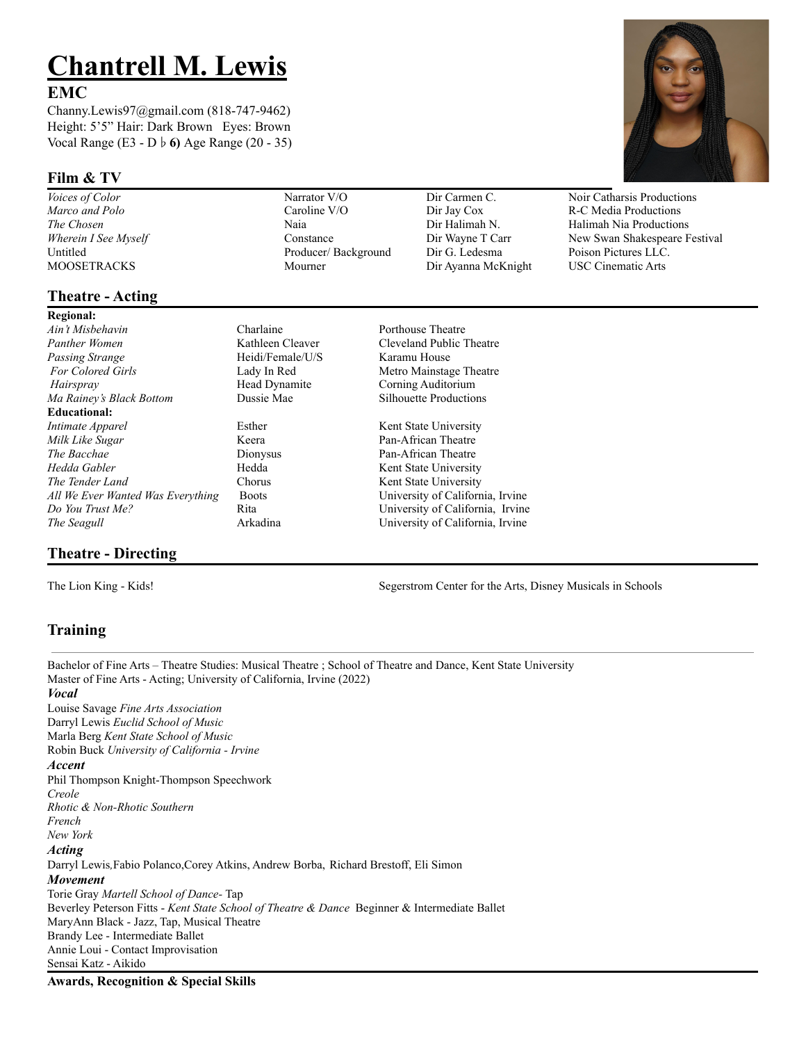# **Chantrell M. Lewis**

#### **EMC**

Channy.Lewis97@gmail.com (818-747-9462) Height: 5'5" Hair: Dark Brown Eyes: Brown Vocal Range (E3 - D♭**6)** Age Range (20 - 35)

#### **Film & TV**

## **Theatre - Acting**

**Regional:** *Ain't Misbehavin* Charlaine Porthouse Theatre *Panther Women* Kathleen Cleaver Cleveland Public Theatre *Passing Strange* **Heidi/Female/U/S** Karamu House *For Colored Girls* **Lady In Red Metro Mainstage Theatre** *Hairspray* Head Dynamite Corning Auditorium *Ma Rainey's Black Bottom* Dussie Mae Silhouette Productions **Educational:** *Intimate Apparel* Esther Kent State University *Milk Like Sugar* **Keera** Keera **Pan-African Theatre** *The Bacchae* **Dionysus Pan-African Theatre** *Hedda Gabler* **Hedda** Kent State University **The Tender Land** Chorus Chorus Kent State University *All We Ever Wanted Was Everything* Boots University of California, Irvine *Do You Trust Me?* Rita University of California, Irvine *The Seagull* Arkadina University of California, Irvine

### **Theatre - Directing**

*Marco and Polo* Caroline V/O Dir Jay Cox R-C Media Productions Untitled Producer/ Background Dir G. Ledesma Poison Pictures LLC. MOOSETRACKS Mourner Dir Ayanna McKnight USC Cinematic Arts



*Voices of Color* **Narrator V/O** Dir Carmen C. Noir Catharsis Productions *The Chosen* Naia Dir Halimah N. Halimah Nia Productions *Wherein I See Myself* Constance Constance Dir Wayne T Carr New Swan Shakespeare Festival

The Lion King - Kids! Segerstrom Center for the Arts, Disney Musicals in Schools

# **Training**

Bachelor of Fine Arts – Theatre Studies: Musical Theatre ; School of Theatre and Dance, Kent State University Master of Fine Arts - Acting; University of California, Irvine (2022) *Vocal* Louise Savage *Fine Arts Association* Darryl Lewis *Euclid School of Music* Marla Berg *Kent State School of Music* Robin Buck *University of California - Irvine Accent* Phil Thompson Knight-Thompson Speechwork *Creole Rhotic & Non-Rhotic Southern French New York Acting* Darryl Lewis*,*Fabio Polanco,Corey Atkins, Andrew Borba, Richard Brestoff, Eli Simon *Movement* Torie Gray *Martell School of Dance-* Tap Beverley Peterson Fitts - *Kent State School of Theatre & Dance* Beginner & Intermediate Ballet MaryAnn Black - Jazz, Tap, Musical Theatre Brandy Lee - Intermediate Ballet Annie Loui - Contact Improvisation Sensai Katz - Aikido

**Awards, Recognition & Special Skills**